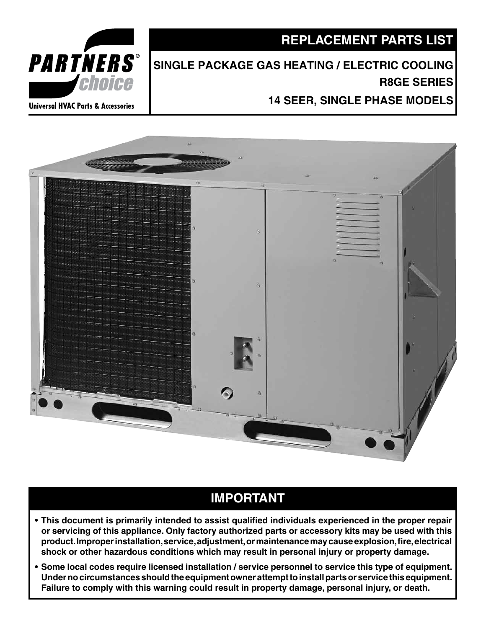### **REPLACEMENT PARTS LIST**

# **Single Package Gas Heating / Electric Cooling R8GE Series**

**14 SEER, Single Phase Models** 





## **IMPORTANT**

- **• This document is primarily intended to assist qualified individuals experienced in the proper repair or servicing of this appliance. Only factory authorized parts or accessory kits may be used with this product.Improperinstallation,service,adjustment,ormaintenancemaycauseexplosion,fire,electrical shock or other hazardous conditions which may result in personal injury or property damage.**
- **• Some local codes require licensed installation / service personnel to service this type of equipment.** Under no circumstances should the equipment owner attempt to install parts or service this equipment. **Failure to comply with this warning could result in property damage, personal injury, or death.**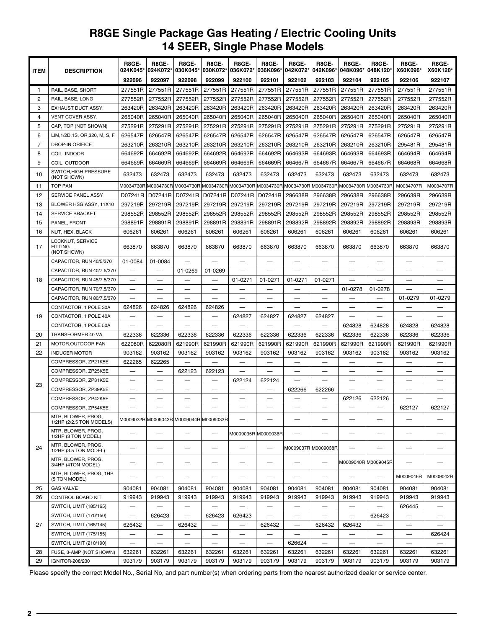### **R8GE Single Package Gas Heating / Electric Cooling Units 14 SEER, Single Phase Models**

| <b>ITEM</b>    | <b>DESCRIPTION</b>                                | R8GE-<br>024K045*        | R8GE-<br>024K072*                       | R8GE-<br>030K045*        | R8GE-<br>030K072*        | R8GE-<br>036K072*        | R8GE-<br>036K096*                                 | R8GE-<br>042K072*             | R8GE-<br>042K096*               | R8GE-<br>048K096*        | R8GE-<br>048K120*        | R8GE-<br>X60K096*                 | R8GE-<br>X60K120*              |
|----------------|---------------------------------------------------|--------------------------|-----------------------------------------|--------------------------|--------------------------|--------------------------|---------------------------------------------------|-------------------------------|---------------------------------|--------------------------|--------------------------|-----------------------------------|--------------------------------|
|                |                                                   | 922096                   | 922097                                  | 922098                   | 922099                   | 922100                   | 922101                                            | 922102                        | 922103                          | 922104                   | 922105                   | 922106                            | 922107                         |
| $\mathbf{1}$   | RAIL, BASE, SHORT                                 | 277551R                  | 277551R                                 | 277551R                  | 277551R                  | 277551R                  | 277551R                                           | 277551R                       | 277551R                         | 277551R                  | 277551R                  | 277551R                           | 277551R                        |
| $\overline{c}$ | RAIL, BASE, LONG                                  | 277552R                  | 277552R                                 | 277552R                  | 277552R                  | 277552R                  | 277552R                                           | 277552R                       | 277552R                         | 277552R                  | 277552R                  | 277552R                           | 277552R                        |
| 3              | EXHAUST DUCT ASSY.                                | 263420R                  | 263420R                                 | 263420R                  | 263420R                  | 263420R                  | 263420R                                           | 263420R                       | 263420R                         | 263420R                  | 263420R                  | 263420R                           | 263420R                        |
| 4              | VENT COVER ASSY.                                  | 265040R                  | 265040R                                 | 265040R                  | 265040R                  | 265040R                  | 265040R                                           | 265040R                       | 265040R                         | 265040R                  | 265040R                  | 265040R                           | 265040R                        |
| 5              | CAP, TOP (NOT SHOWN)                              | 275291R                  | 275291R                                 | 275291R                  | 275291R                  | 275291R                  | 275291R                                           | 275291R                       | 275291R                         | 275291R                  | 275291R                  | 275291R                           | 275291R                        |
| 6              | LIM, 1/2D, 1S, OR, 320, M, S, F                   | 626547R                  | 626547R                                 | 626547R                  | 626547R                  | 626547R                  | 626547R                                           | 626547R                       | 626547R                         | 626547R                  | 626547R                  | 626547R                           | 626547R                        |
| 7              | DROP-IN ORIFICE                                   | 263210R                  | 263210R                                 | 263210R                  | 263210R                  | 263210R                  | 263210R                                           | 263210R                       | 263210R                         | 263210R                  | 263210R                  | 295481R                           | 295481R                        |
| 8              | COIL. INDOOR                                      | 664692R                  | 664692R                                 | 664692R                  | 664692R                  | 664692R                  | 664692R                                           | 664693R                       | 664693R                         | 664693R                  | 664693R                  | 664694R                           | 664694R                        |
| 9              | COIL, OUTDOOR                                     | 664669R                  | 664669R                                 | 664669R                  | 664669R                  | 664669R                  | 664669R                                           | 664667R                       | 664667R                         | 664667R                  | 664667R                  | 664668R                           | 664668R                        |
| 10             | SWITCH, HIGH PRESSURE<br>(NOT SHOWN)              | 632473                   | 632473                                  | 632473                   | 632473                   | 632473                   | 632473                                            | 632473                        | 632473                          | 632473                   | 632473                   | 632473                            | 632473                         |
| 11             | <b>TOP PAN</b>                                    |                          | M0034730R M0034730R M0034730R           |                          |                          |                          | M0034730R M0034730R M0034730R M0034730R M0034730R |                               |                                 | M0034730R M0034730R      |                          | M0034707R                         | M0034707R                      |
| 12             | SERVICE PANEL ASSY                                | D07241R                  | D07241R                                 | D07241R                  | D07241R                  | D07241R                  | D07241R                                           | 296638R                       | 296638R                         | 296638R                  | 296638R                  | 296639R                           | 296639R                        |
| 13             | BLOWER HSG ASSY, 11X10                            | 297219R                  | 297219R                                 | 297219R                  | 297219R                  | 297219R                  | 297219R                                           | 297219R                       | 297219R                         | 297219R                  | 297219R                  | 297219R                           | 297219R                        |
| 14             | <b>SERVICE BRACKET</b>                            | 298552R                  | 298552R                                 | 298552R                  | 298552R                  | 298552R                  | 298552R                                           | 298552R                       | 298552R                         | 298552R                  | 298552R                  | 298552R                           | 298552R                        |
| 15             | PANEL, FRONT                                      | 298891R                  | 298891R                                 | 298891R                  | 298891R                  | 298891R                  | 298891R                                           | 298892R                       | 298892R                         | 298892R                  | 298892R                  | 298893R                           | 298893R                        |
| 16             | NUT, HEX, BLACK                                   | 606261                   | 606261                                  | 606261                   | 606261                   | 606261                   | 606261                                            | 606261                        | 606261                          | 606261                   | 606261                   | 606261                            | 606261                         |
| 17             | LOCKNUT, SERVICE<br><b>FITTING</b><br>(NOT SHOWN) | 663870                   | 663870                                  | 663870                   | 663870                   | 663870                   | 663870                                            | 663870                        | 663870                          | 663870                   | 663870                   | 663870                            | 663870                         |
|                | CAPACITOR, RUN 40/5/370                           | 01-0084                  | 01-0084                                 | $\overline{\phantom{m}}$ | —                        | —                        | —                                                 | $\overbrace{\phantom{13333}}$ | —                               | —                        | —                        | —                                 | $\overbrace{\phantom{123331}}$ |
|                | CAPACITOR, RUN 40/7.5/370                         |                          |                                         | 01-0269                  | 01-0269                  |                          |                                                   |                               |                                 |                          |                          |                                   |                                |
| 18             | CAPACITOR, RUN 45/7.5/370                         |                          |                                         |                          |                          | 01-0271                  | 01-0271                                           | 01-0271                       | 01-0271                         |                          |                          |                                   |                                |
|                | CAPACITOR, RUN 70/7.5/370                         | —                        |                                         |                          |                          |                          |                                                   |                               |                                 | 01-0278                  | 01-0278                  |                                   |                                |
|                | CAPACITOR, RUN 80/7.5/370                         |                          |                                         |                          |                          |                          |                                                   |                               |                                 |                          |                          | 01-0279                           | 01-0279                        |
|                | CONTACTOR, 1 POLE 30A                             | 624826                   | 624826                                  | 624826                   | 624826                   |                          |                                                   |                               |                                 |                          |                          |                                   |                                |
| 19             | CONTACTOR, 1 POLE 40A                             |                          |                                         | $\overline{\phantom{0}}$ | —                        | 624827                   | 624827                                            | 624827                        | 624827                          | —                        |                          |                                   |                                |
|                | CONTACTOR, 1 POLE 50A                             |                          |                                         |                          |                          |                          |                                                   |                               |                                 | 624828                   | 624828                   | 624828                            | 624828                         |
| 20             | TRANSFORMER 40 VA                                 | 622336                   | 622336                                  | 622336                   | 622336                   | 622336                   | 622336                                            | 622336                        | 622336                          | 622336                   | 622336                   | 622336                            | 622336                         |
| 21             | MOTOR, OUTDOOR FAN                                | 622080R                  | 622080R                                 | 621990R                  | 621990R                  | 621990R                  | 621990R                                           | 621990R                       | 621990R                         | 621990R                  | 621990R                  | 621990R                           | 621990R                        |
| 22             | <b>INDUCER MOTOR</b>                              | 903162                   | 903162                                  | 903162                   | 903162                   | 903162                   | 903162                                            | 903162                        | 903162                          | 903162                   | 903162                   | 903162                            | 903162                         |
|                | COMPRESSOR, ZP21K5E                               | 622265                   | 622265                                  |                          |                          | —                        | -                                                 |                               | $\overline{\phantom{0}}$        | —                        | —                        | $\overbrace{\phantom{123221111}}$ |                                |
|                | COMPRESSOR, ZP25K5E                               |                          |                                         | 622123                   | 622123                   |                          |                                                   | $\qquad \qquad -$             |                                 |                          | —                        |                                   | $\overline{\phantom{0}}$       |
| 23             | COMPRESSOR, ZP31K5E                               |                          |                                         |                          |                          | 622124                   | 622124                                            |                               |                                 |                          |                          |                                   |                                |
|                | COMPRESSOR, ZP39K5E                               |                          |                                         |                          | $\sim$                   |                          |                                                   | 622266                        | 622266                          |                          |                          |                                   | $\overline{\phantom{0}}$       |
|                | COMPRESSOR, ZP42K5E                               | $\overline{\phantom{0}}$ |                                         | —                        |                          |                          |                                                   | a.                            | $\overline{\phantom{0}}$        | 622126                   | 622126                   |                                   |                                |
|                | COMPRESSOR, ZP54K5E                               |                          |                                         |                          |                          |                          |                                                   |                               |                                 |                          |                          | 622127                            | 622127                         |
|                | MTR, BLOWER, PROG,<br>1/2HP (2/2.5 TON MODELS)    |                          | M0009032R M0009043R M0009044R M0009033R |                          |                          | —                        | -                                                 |                               |                                 | —                        | —                        | —                                 |                                |
|                | MTR, BLOWER, PROG,<br>1/2HP (3 TON MODEL)         | —                        |                                         | —                        | —                        |                          | M0009035R M0009036R                               |                               | -                               | -                        | —                        | —                                 |                                |
| 24             | MTR, BLOWER, PROG,<br>1/2HP (3.5 TON MODEL)       | -                        |                                         | —                        | —                        | —                        | $\overline{\phantom{0}}$                          |                               | M0009037R M0009038R             | —                        | —                        | —                                 |                                |
|                | MTR, BLOWER, PROG,<br>3/4HP (4TON MODEL)          | -                        | —                                       | -                        | -                        | —                        | —                                                 |                               | —                               |                          | M0009040R M0009045R      |                                   |                                |
|                | MTR, BLOWER, PROG, 1HP<br>(5 TON MODEL)           | —                        |                                         | $\overline{\phantom{m}}$ | —                        | -                        | -                                                 | $\overline{\phantom{0}}$      | $\hspace{0.1mm}-\hspace{0.1mm}$ | —                        | $\overline{\phantom{0}}$ | M0009046R                         | M0009042R                      |
| 25             | <b>GAS VALVE</b>                                  | 904081                   | 904081                                  | 904081                   | 904081                   | 904081                   | 904081                                            | 904081                        | 904081                          | 904081                   | 904081                   | 904081                            | 904081                         |
| 26             | CONTROL BOARD KIT                                 | 919943                   | 919943                                  | 919943                   | 919943                   | 919943                   | 919943                                            | 919943                        | 919943                          | 919943                   | 919943                   | 919943                            | 919943                         |
| 27             | SWITCH, LIMIT (185/165)                           |                          |                                         |                          |                          |                          |                                                   |                               |                                 | —                        |                          | 626445                            |                                |
|                | SWITCH, LIMIT (170/150)                           | $\overline{\phantom{0}}$ | 626423                                  | $\qquad \qquad -$        | 626423                   | 626423                   | $\overline{\phantom{0}}$                          |                               | $\overline{\phantom{0}}$        | $\overline{\phantom{0}}$ | 626423                   | $\overline{\phantom{0}}$          | $\overline{\phantom{0}}$       |
|                | SWITCH, LIMIT (165/145)                           | 626432                   | $\overline{\phantom{0}}$                | 626432                   | $\overline{\phantom{0}}$ | $\overline{\phantom{0}}$ | 626432                                            | $\qquad \qquad -$             | 626432                          | 626432                   |                          | $\overline{\phantom{0}}$          | $\overline{\phantom{0}}$       |
|                | SWITCH, LIMIT (175/155)                           | $\overline{\phantom{0}}$ | $\overline{\phantom{m}}$                | $\qquad \qquad -$        | —                        | $\qquad \qquad -$        | $\qquad \qquad -$                                 | $\qquad \qquad -$             | $\qquad \qquad -$               | $\qquad \qquad -$        |                          | $\qquad \qquad -$                 | 626424                         |
|                | SWITCH, LIMIT (210/190)                           | $\qquad \qquad -$        | $\qquad \qquad -$                       | $\qquad \qquad -$        | $\qquad \qquad -$        | —                        | $\overline{\phantom{0}}$                          | 626624                        | $\qquad \qquad -$               | —                        | $\overline{\phantom{0}}$ | $\qquad \qquad -$                 |                                |
| 28             | FUSE, 3-AMP (NOT SHOWN)                           | 632261                   | 632261                                  | 632261                   | 632261                   | 632261                   | 632261                                            | 632261                        | 632261                          | 632261                   | 632261                   | 632261                            | 632261                         |
| 29             | IGNITOR-208/230                                   | 903179                   | 903179                                  | 903179                   | 903179                   | 903179                   | 903179                                            | 903179                        | 903179                          | 903179                   | 903179                   | 903179                            | 903179                         |

Please specify the correct Model No., Serial No, and part number(s) when ordering parts from the nearest authorized dealer or service center.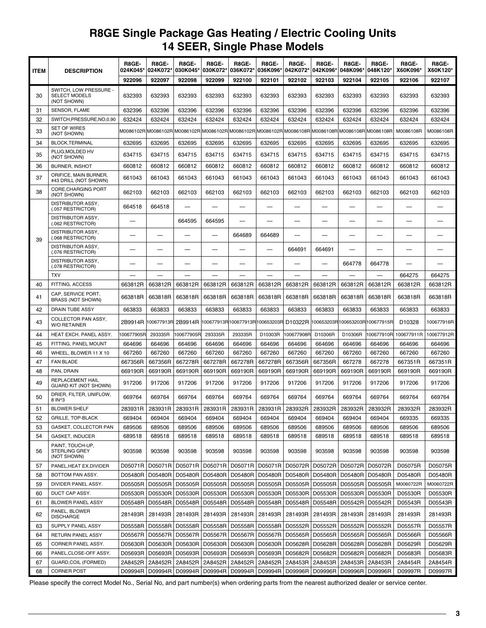### **R8GE Single Package Gas Heating / Electric Cooling Units 14 SEER, Single Phase Models**

| <b>ITEM</b> | <b>DESCRIPTION</b>                                            | R8GE-<br>024K045* | R8GE-<br>024K072*                                                     | R8GE-<br>030K045* | R8GE-<br>030K072* | R8GE-<br>036K072* | R8GE-<br>036K096*                        | R8GE-<br>042K072* | R8GE-<br>042K096*        | R8GE-<br>048K096*   | R8GE-<br>048K120*                         | R8GE-<br>X60K096*  | R8GE-<br>X60K120* |
|-------------|---------------------------------------------------------------|-------------------|-----------------------------------------------------------------------|-------------------|-------------------|-------------------|------------------------------------------|-------------------|--------------------------|---------------------|-------------------------------------------|--------------------|-------------------|
|             |                                                               | 922096            | 922097                                                                | 922098            | 922099            | 922100            | 922101                                   | 922102            | 922103                   | 922104              | 922105                                    | 922106             | 922107            |
| 30          | SWITCH, LOW PRESSURE -<br><b>SELECT MODELS</b><br>(NOT SHOWN) | 632393            | 632393                                                                | 632393            | 632393            | 632393            | 632393                                   | 632393            | 632393                   | 632393              | 632393                                    | 632393             | 632393            |
| 31          | SENSOR, FLAME                                                 | 632396            | 632396                                                                | 632396            | 632396            | 632396            | 632396                                   | 632396            | 632396                   | 632396              | 632396                                    | 632396             | 632396            |
| 32          | SWITCH, PRESSURE, NO, 0.90                                    | 632424            | 632424                                                                | 632424            | 632424            | 632424            | 632424                                   | 632424            | 632424                   | 632424              | 632424                                    | 632424             | 632424            |
| 33          | <b>SET OF WIRES</b><br>(NOT SHOWN)                            | M0086102R         | M0086102R M0086102R M0086102R M0086102R M0086102R M0086108R M0086108R |                   |                   |                   |                                          |                   |                          | M0086108R M0086108R |                                           | M0086108R          | M0086108R         |
| 34          | <b>BLOCK, TERMINAL</b>                                        | 632695            | 632695                                                                | 632695            | 632695            | 632695            | 632695                                   | 632695            | 632695                   | 632695              | 632695                                    | 632695             | 632695            |
| 35          | PLUG, MOLDED HV<br>(NOT SHOWN)                                | 634715            | 634715                                                                | 634715            | 634715            | 634715            | 634715                                   | 634715            | 634715                   | 634715              | 634715                                    | 634715             | 634715            |
| 36          | <b>BURNER, INSHOT</b>                                         | 660812            | 660812                                                                | 660812            | 660812            | 660812            | 660812                                   | 660812            | 660812                   | 660812              | 660812                                    | 660812             | 660812            |
| 37          | ORIFICE, MAIN BURNER,<br>#43 DRILL (NOT SHOWN)                | 661043            | 661043                                                                | 661043            | 661043            | 661043            | 661043                                   | 661043            | 661043                   | 661043              | 661043                                    | 661043             | 661043            |
| 38          | CORE, CHARGING PORT<br>(NOT SHOWN)                            | 662103            | 662103                                                                | 662103            | 662103            | 662103            | 662103                                   | 662103            | 662103                   | 662103              | 662103                                    | 662103             | 662103            |
|             | DISTRIBUTOR ASSY,<br>(.057 RESTRICTOR)                        | 664518            | 664518                                                                |                   |                   |                   |                                          |                   |                          |                     | —                                         |                    |                   |
|             | <b>DISTRIBUTOR ASSY,</b><br>(.062 RESTRICTOR)                 |                   |                                                                       | 664595            | 664595            | —                 |                                          |                   | —                        | —                   | —                                         |                    | -                 |
| 39          | DISTRIBUTOR ASSY,<br>(.068 RESTRICTOR)                        |                   |                                                                       |                   | —                 | 664689            | 664689                                   |                   |                          |                     | —                                         |                    |                   |
|             | <b>DISTRIBUTOR ASSY,</b><br>(.076 RESTRICTOR)                 |                   |                                                                       |                   | —                 |                   | —                                        | 664691            | 664691                   | -                   | —                                         |                    |                   |
|             | <b>DISTRIBUTOR ASSY,</b><br>(.078 RESTRICTOR)                 |                   |                                                                       | —                 |                   | —                 |                                          |                   | $\overline{\phantom{0}}$ | 664778              | 664778                                    | —                  |                   |
|             | <b>TXV</b>                                                    |                   |                                                                       |                   |                   |                   |                                          |                   |                          |                     |                                           | 664275             | 664275            |
| 40          | FITTING, ACCESS                                               | 663812R           | 663812R                                                               | 663812R           | 663812R           | 663812R           | 663812R                                  | 663812R           | 663812R                  | 663812R             | 663812R                                   | 663812R            | 663812R           |
| 41          | CAP, SERVICE PORT,<br><b>BRASS (NOT SHOWN)</b>                | 663818R           | 663818R                                                               | 663818R           | 663818R           | 663818R           | 663818R                                  | 663818R           | 663818R                  | 663818R             | 663818R                                   | 663818R            | 663818R           |
| 42          | <b>DRAIN TUBE ASSY</b>                                        | 663833            | 663833                                                                | 663833            | 663833            | 663833            | 663833                                   | 663833            | 663833                   | 663833              | 663833                                    | 663833             | 663833            |
| 43          | COLLECTOR PAN ASSY,<br><b>W/O RETAINER</b>                    | 2B9914R           | 100677913R                                                            |                   |                   |                   | 2B9914R 100677913R 100677913R 100653203R |                   |                          |                     | D10322R  100653203R 100653203R 100677915R | D <sub>10328</sub> | 100677916R        |
| 44          | HEAT EXCH. PANEL ASSY.                                        | 100677905R        | 293335R                                                               | 00677905R         | 293335R           | 293335R           | D10303R                                  | 100677908R        | D10306R                  | D10306R             | 00677910R                                 | 100677911R         | 100677912R        |
| 45          | FITTING, PANEL MOUNT                                          | 664696            | 664696                                                                | 664696            | 664696            | 664696            | 664696                                   | 664696            | 664696                   | 664696              | 664696                                    | 664696             | 664696            |
| 46          | WHEEL, BLOWER 11 X 10                                         | 667260            | 667260                                                                | 667260            | 667260            | 667260            | 667260                                   | 667260            | 667260                   | 667260              | 667260                                    | 667260             | 667260            |
| 47          | <b>FAN BLADE</b>                                              | 667356R           | 667356R                                                               | 667278R           | 667278R           | 667278R           | 667278R                                  | 667356R           | 667356R                  | 667278              | 667278                                    | 667351R            | 667351R           |
| 48          | PAN, DRAIN                                                    | 669190R           | 669190R                                                               | 669190R           | 669190R           | 669190R           | 669190R                                  | 669190R           | 669190R                  | 669190R             | 669190R                                   | 669190R            | 669190R           |
| 49          | <b>REPLACEMENT HAIL</b><br><b>GUARD KIT (NOT SHOWN)</b>       | 917206            | 917206                                                                | 917206            | 917206            | 917206            | 917206                                   | 917206            | 917206                   | 917206              | 917206                                    | 917206             | 917206            |
| 50          | DRIER. FILTER. UNIFLOW.<br>8 IN^3                             | 669764            | 669764                                                                | 669764            | 669764            | 669764            | 669764                                   | 669764            | 669764                   | 669764              | 669764                                    | 669764             | 669764            |
| 51          | <b>BLOWER SHELF</b>                                           | 283931R           | 283931R                                                               | 283931R           | 283931R           | 283931R           | 283931R                                  | 283932R           | 283932R                  | 283932R             | 283932R                                   | 283932R            | 283932R           |
| 52          | <b>GRILLE, TOP-BLACK</b>                                      | 669404            | 669404                                                                | 669404            | 669404            | 669404            | 669404                                   | 669404            | 669404                   | 669404              | 669404                                    | 669335             | 669335            |
| 53          | GASKET, COLLECTOR PAN                                         | 689506            | 689506                                                                | 689506            | 689506            | 689506            | 689506                                   | 689506            | 689506                   | 689506              | 689506                                    | 689506             | 689506            |
| 54          | <b>GASKET, INDUCER</b>                                        | 689518            | 689518                                                                | 689518            | 689518            | 689518            | 689518                                   | 689518            | 689518                   | 689518              | 689518                                    | 689518             | 689518            |
| 56          | PAINT, TOUCH-UP,<br><b>STERLING GREY</b><br>(NOT SHOWN)       | 903598            | 903598                                                                | 903598            | 903598            | 903598            | 903598                                   | 903598            | 903598                   | 903598              | 903598                                    | 903598             | 903598            |
| 57          | PANEL, HEAT EX. DIVIDER                                       | D05071R           | D05071R                                                               | D05071R           | D05071R           | D05071R           | D05071R                                  | D05072R           | D05072R                  | D05072R             | D05072R                                   | D05075R            | D05075R           |
| 58          | BOTTOM PAN ASSY.                                              | D05480R           | D05480R                                                               | D05480R           | D05480R           | D05480R           | D05480R                                  | D05480R           | D05480R                  | D05480R             | D05480R                                   | D05480R            | D05480R           |
| 59          | DIVIDER PANEL ASSY.                                           | D05505R           |                                                                       | D05505R   D05505R | D05505R           | D05505R           | D05505R                                  | D05505R           | D05505R                  | D05505R             | D05505R                                   | M0060722R          | M0060722R         |
| 60          | DUCT CAP ASSY.                                                | D05530R           |                                                                       | D05530R   D05530R | D05530R           | D05530R           | D05530R                                  |                   | D05530R   D05530R        | D05530R             | D05530R                                   | D05530R            | D05530R           |
| 61          | <b>BLOWER PANEL ASSY</b>                                      | D05548R           |                                                                       | D05548R   D05548R | D05548R           | D05548R   D05548R |                                          | D05548R           | D05548R                  | D05542R             | D05542R                                   | D05543R            | D05543R           |
| 62          | PANEL, BLOWER<br><b>DISCHARGE</b>                             | 281493R           | 281493R                                                               | 281493R           | 281493R           | 281493R           | 281493R                                  | 281493R           | 281493R                  | 281493R             | 281493R                                   | 281493R            | 281493R           |
| 63          | SUPPLY PANEL ASSY                                             | D05558R           | D05558R                                                               | D05558R           | D05558R           | D05558R           | D05558R                                  | D05552R           | D05552R                  | D05552R             | D05552R                                   | D05557R            | D05557R           |
| 64          | RETURN PANEL ASSY                                             | D05567R           | D05567R                                                               | D05567R           | D05567R           | D05567R           | D05567R                                  | D05565R           | D05565R                  | D05565R             | D05565R                                   | D05566R            | D05566R           |
| 65          | CORNER PANEL ASSY.                                            | D05630R           | D05630R                                                               | D05630R           | D05630R           | D05630R           | D05630R                                  | D05628R           | D05628R                  | D05628R             | D05628R                                   | D05629R            | D05629R           |
| 66          | PANEL, CLOSE-OFF ASSY.                                        | D05693R           | D05693R                                                               | D05693R           | D05693R           | D05693R           | D05693R                                  | D05682R           | D05682R                  | D05682R             | D05682R                                   | D05683R            | D05683R           |
| 67          | GUARD, COIL (FORMED)                                          | 2A8452R           | 2A8452R                                                               | 2A8452R           | 2A8452R           | 2A8452R           | 2A8452R                                  | 2A8453R           | 2A8453R                  | 2A8453R             | 2A8453R                                   | 2A8454R            | 2A8454R           |
| 68          | <b>CORNER POST</b>                                            | D09994R           |                                                                       | D09994R   D09994R | D09994R           |                   | D09994R   D09994R                        | D09996R           | D09996R                  | D09996R             | D09996R                                   | D09997R            | D09997R           |

Please specify the correct Model No., Serial No, and part number(s) when ordering parts from the nearest authorized dealer or service center.